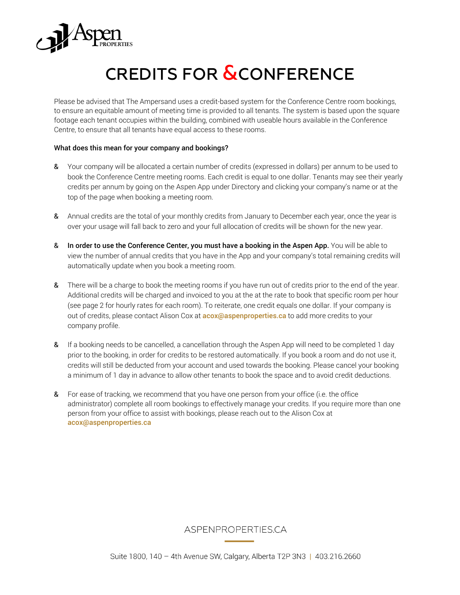

## CREDITS FOR **&CONFERENCE**

Please be advised that The Ampersand uses a credit-based system for the Conference Centre room bookings, to ensure an equitable amount of meeting time is provided to all tenants. The system is based upon the square footage each tenant occupies within the building, combined with useable hours available in the Conference Centre, to ensure that all tenants have equal access to these rooms.

## What does this mean for your company and bookings?

- & Your company will be allocated a certain number of credits (expressed in dollars) per annum to be used to book the Conference Centre meeting rooms. Each credit is equal to one dollar. Tenants may see their yearly credits per annum by going on the Aspen App under Directory and clicking your company's name or at the top of the page when booking a meeting room.
- & Annual credits are the total of your monthly credits from January to December each year, once the year is over your usage will fall back to zero and your full allocation of credits will be shown for the new year.
- & In order to use the Conference Center, you must have a booking in the Aspen App. You will be able to view the number of annual credits that you have in the App and your company's total remaining credits will automatically update when you book a meeting room.
- & There will be a charge to book the meeting rooms if you have run out of credits prior to the end of the year. Additional credits will be charged and invoiced to you at the at the rate to book that specific room per hour (see page 2 for hourly rates for each room). To reiterate, one credit equals one dollar. If your company is out of credits, please contact Alison Cox at **[acox@aspenproperties.ca](mailto:acox@aspenproperties.ca)** to add more credits to your company profile.
- & If a booking needs to be cancelled, a cancellation through the Aspen App will need to be completed 1 day prior to the booking, in order for credits to be restored automatically. If you book a room and do not use it, credits will still be deducted from your account and used towards the booking. Please cancel your booking a minimum of 1 day in advance to allow other tenants to book the space and to avoid credit deductions.
- & For ease of tracking, we recommend that you have one person from your office (i.e. the office administrator) complete all room bookings to effectively manage your credits. If you require more than one person from your office to assist with bookings, please reach out to the Alison Cox at [acox@aspenproperties.ca](mailto:acox@aspenproperties.ca)

## **ASPENPROPERTIES.CA**